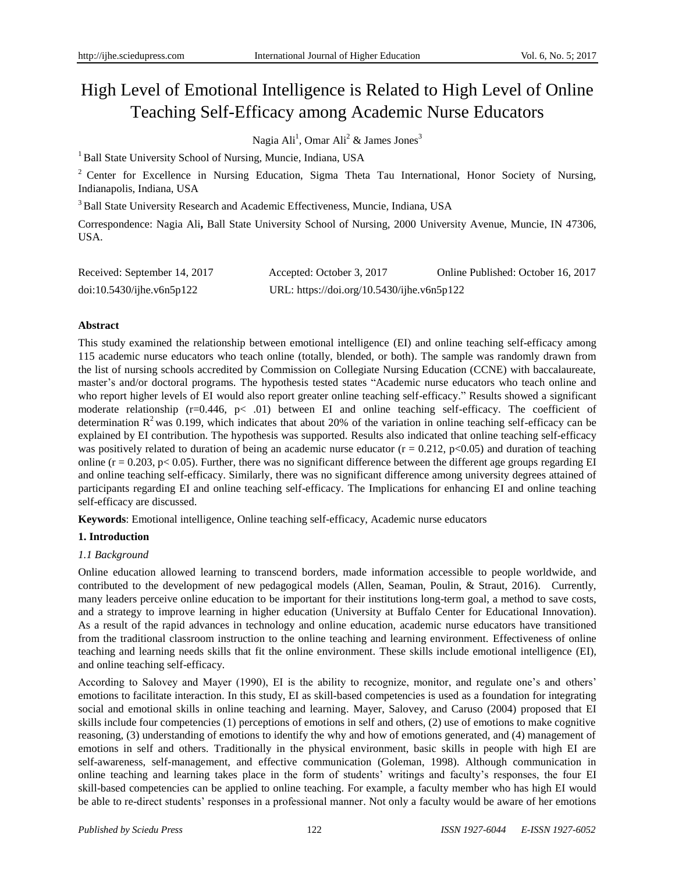# High Level of Emotional Intelligence is Related to High Level of Online Teaching Self-Efficacy among Academic Nurse Educators

Nagia Ali<sup>1</sup>, Omar Ali<sup>2</sup> & James Jones<sup>3</sup>

<sup>1</sup> Ball State University School of Nursing, Muncie, Indiana, USA

<sup>2</sup> Center for Excellence in Nursing Education, Sigma Theta Tau International, Honor Society of Nursing, Indianapolis, Indiana, USA

<sup>3</sup> Ball State University Research and Academic Effectiveness, Muncie, Indiana, USA

Correspondence: Nagia Ali**,** Ball State University School of Nursing, 2000 University Avenue, Muncie, IN 47306, USA.

| Received: September 14, 2017 | Accepted: October 3, 2017                  | Online Published: October 16, 2017 |
|------------------------------|--------------------------------------------|------------------------------------|
| doi:10.5430/jhe.v6n5p122     | URL: https://doi.org/10.5430/ijhe.v6n5p122 |                                    |

# **Abstract**

This study examined the relationship between emotional intelligence (EI) and online teaching self-efficacy among 115 academic nurse educators who teach online (totally, blended, or both). The sample was randomly drawn from the list of nursing schools accredited by Commission on Collegiate Nursing Education (CCNE) with baccalaureate, master's and/or doctoral programs. The hypothesis tested states "Academic nurse educators who teach online and who report higher levels of EI would also report greater online teaching self-efficacy." Results showed a significant moderate relationship (r=0.446, p< .01) between EI and online teaching self-efficacy. The coefficient of determination  $R^2$  was 0.199, which indicates that about 20% of the variation in online teaching self-efficacy can be explained by EI contribution. The hypothesis was supported. Results also indicated that online teaching self-efficacy was positively related to duration of being an academic nurse educator  $(r = 0.212, p<0.05)$  and duration of teaching online ( $r = 0.203$ ,  $p < 0.05$ ). Further, there was no significant difference between the different age groups regarding EI and online teaching self-efficacy. Similarly, there was no significant difference among university degrees attained of participants regarding EI and online teaching self-efficacy. The Implications for enhancing EI and online teaching self-efficacy are discussed.

**Keywords**: Emotional intelligence, Online teaching self-efficacy, Academic nurse educators

# **1. Introduction**

# *1.1 Background*

Online education allowed learning to transcend borders, made information accessible to people worldwide, and contributed to the development of new pedagogical models (Allen, Seaman, Poulin, & Straut, 2016). Currently, many leaders perceive online education to be important for their institutions long-term goal, a method to save costs, and a strategy to improve learning in higher education (University at Buffalo Center for Educational Innovation). As a result of the rapid advances in technology and online education, academic nurse educators have transitioned from the traditional classroom instruction to the online teaching and learning environment. Effectiveness of online teaching and learning needs skills that fit the online environment. These skills include emotional intelligence (EI), and online teaching self-efficacy.

According to Salovey and Mayer (1990), EI is the ability to recognize, monitor, and regulate one's and others' emotions to facilitate interaction. In this study, EI as skill-based competencies is used as a foundation for integrating social and emotional skills in online teaching and learning. Mayer, Salovey, and Caruso (2004) proposed that EI skills include four competencies (1) perceptions of emotions in self and others, (2) use of emotions to make cognitive reasoning, (3) understanding of emotions to identify the why and how of emotions generated, and (4) management of emotions in self and others. Traditionally in the physical environment, basic skills in people with high EI are self-awareness, self-management, and effective communication (Goleman, 1998). Although communication in online teaching and learning takes place in the form of students' writings and faculty's responses, the four EI skill-based competencies can be applied to online teaching. For example, a faculty member who has high EI would be able to re-direct students' responses in a professional manner. Not only a faculty would be aware of her emotions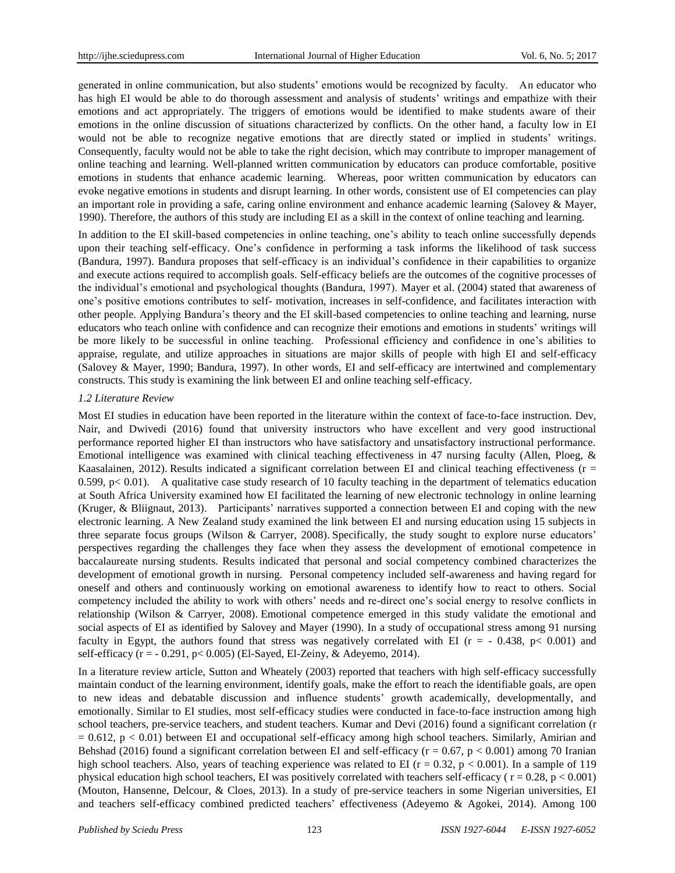generated in online communication, but also students' emotions would be recognized by faculty. An educator who has high EI would be able to do thorough assessment and analysis of students' writings and empathize with their emotions and act appropriately. The triggers of emotions would be identified to make students aware of their emotions in the online discussion of situations characterized by conflicts. On the other hand, a faculty low in EI would not be able to recognize negative emotions that are directly stated or implied in students' writings. Consequently, faculty would not be able to take the right decision, which may contribute to improper management of online teaching and learning. Well-planned written communication by educators can produce comfortable, positive emotions in students that enhance academic learning. Whereas, poor written communication by educators can evoke negative emotions in students and disrupt learning. In other words, consistent use of EI competencies can play an important role in providing a safe, caring online environment and enhance academic learning (Salovey & Mayer, 1990). Therefore, the authors of this study are including EI as a skill in the context of online teaching and learning.

In addition to the EI skill-based competencies in online teaching, one's ability to teach online successfully depends upon their teaching self-efficacy. One's confidence in performing a task informs the likelihood of task success (Bandura, 1997). Bandura proposes that self-efficacy is an individual's confidence in their capabilities to organize and execute actions required to accomplish goals. Self-efficacy beliefs are the outcomes of the cognitive processes of the individual's emotional and psychological thoughts (Bandura, 1997). Mayer et al. (2004) stated that awareness of one's positive emotions contributes to self- motivation, increases in self-confidence, and facilitates interaction with other people. Applying Bandura's theory and the EI skill-based competencies to online teaching and learning, nurse educators who teach online with confidence and can recognize their emotions and emotions in students' writings will be more likely to be successful in online teaching. Professional efficiency and confidence in one's abilities to appraise, regulate, and utilize approaches in situations are major skills of people with high EI and self-efficacy (Salovey & Mayer, 1990; Bandura, 1997). In other words, EI and self-efficacy are intertwined and complementary constructs. This study is examining the link between EI and online teaching self-efficacy.

#### *1.2 Literature Review*

Most EI studies in education have been reported in the literature within the context of face-to-face instruction. Dev, Nair, and Dwivedi (2016) found that university instructors who have excellent and very good instructional performance reported higher EI than instructors who have satisfactory and unsatisfactory instructional performance. Emotional intelligence was examined with clinical teaching effectiveness in 47 nursing faculty (Allen, Ploeg, & Kaasalainen, 2012). Results indicated a significant correlation between EI and clinical teaching effectiveness ( $r =$ 0.599,  $p < 0.01$ ). A qualitative case study research of 10 faculty teaching in the department of telematics education at South Africa University examined how EI facilitated the learning of new electronic technology in online learning (Kruger, & Bliignaut, 2013). Participants' narratives supported a connection between EI and coping with the new electronic learning. A New Zealand study examined the link between EI and nursing education using 15 subjects in three separate focus groups (Wilson & Carryer, 2008). Specifically, the study sought to explore nurse educators' perspectives regarding the challenges they face when they assess the development of emotional competence in baccalaureate nursing students. Results indicated that personal and social competency combined characterizes the development of emotional growth in nursing. Personal competency included self-awareness and having regard for oneself and others and continuously working on emotional awareness to identify how to react to others. Social competency included the ability to work with others' needs and re-direct one's social energy to resolve conflicts in relationship (Wilson & Carryer, 2008). Emotional competence emerged in this study validate the emotional and social aspects of EI as identified by Salovey and Mayer (1990). In a study of occupational stress among 91 nursing faculty in Egypt, the authors found that stress was negatively correlated with EI ( $r = -0.438$ ,  $p < 0.001$ ) and self-efficacy (r = - 0.291, p< 0.005) (El-Sayed, El-Zeiny, & Adeyemo, 2014).

In a literature review article, Sutton and Wheately (2003) reported that teachers with high self-efficacy successfully maintain conduct of the learning environment, identify goals, make the effort to reach the identifiable goals, are open to new ideas and debatable discussion and influence students' growth academically, developmentally, and emotionally. Similar to EI studies, most self-efficacy studies were conducted in face-to-face instruction among high school teachers, pre-service teachers, and student teachers. Kumar and Devi (2016) found a significant correlation (r  $= 0.612$ ,  $p < 0.01$ ) between EI and occupational self-efficacy among high school teachers. Similarly, Amirian and Behshad (2016) found a significant correlation between EI and self-efficacy ( $r = 0.67$ ,  $p < 0.001$ ) among 70 Iranian high school teachers. Also, years of teaching experience was related to EI ( $r = 0.32$ ,  $p < 0.001$ ). In a sample of 119 physical education high school teachers, EI was positively correlated with teachers self-efficacy ( $r = 0.28$ ,  $p < 0.001$ ) (Mouton, Hansenne, Delcour, & Cloes, 2013). In a study of pre-service teachers in some Nigerian universities, EI and teachers self-efficacy combined predicted teachers' effectiveness (Adeyemo & Agokei, 2014). Among 100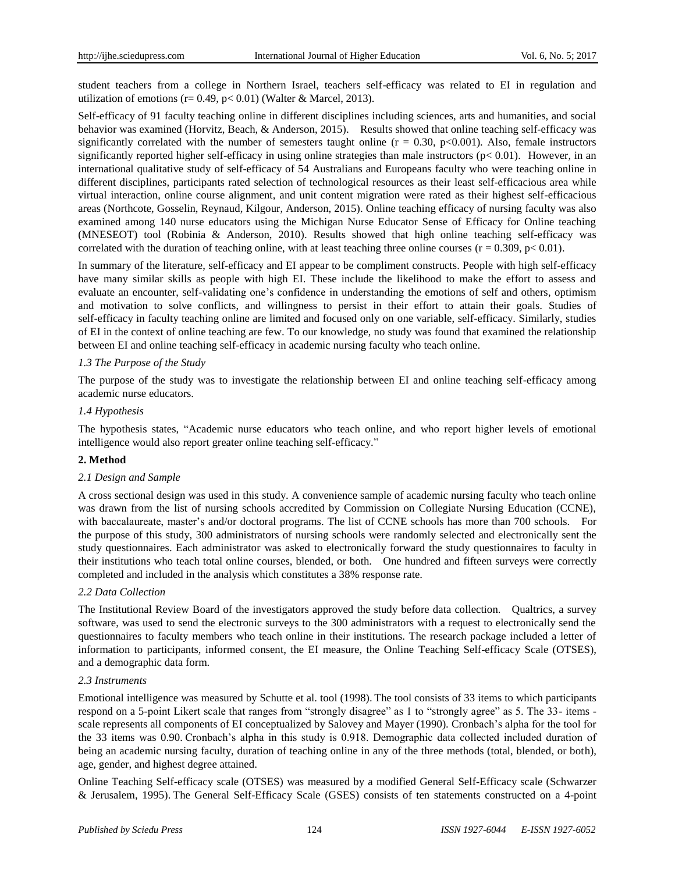student teachers from a college in Northern Israel, teachers self-efficacy was related to EI in regulation and utilization of emotions ( $r = 0.49$ ,  $p < 0.01$ ) (Walter & Marcel, 2013).

Self-efficacy of 91 faculty teaching online in different disciplines including sciences, arts and humanities, and social behavior was examined (Horvitz, Beach, & Anderson, 2015). Results showed that online teaching self-efficacy was significantly correlated with the number of semesters taught online ( $r = 0.30$ ,  $p < 0.001$ ). Also, female instructors significantly reported higher self-efficacy in using online strategies than male instructors ( $p < 0.01$ ). However, in an international qualitative study of self-efficacy of 54 Australians and Europeans faculty who were teaching online in different disciplines, participants rated selection of technological resources as their least self-efficacious area while virtual interaction, online course alignment, and unit content migration were rated as their highest self-efficacious areas (Northcote, Gosselin, Reynaud, Kilgour, Anderson, 2015). Online teaching efficacy of nursing faculty was also examined among 140 nurse educators using the Michigan Nurse Educator Sense of Efficacy for Online teaching (MNESEOT) tool (Robinia & Anderson, 2010). Results showed that high online teaching self-efficacy was correlated with the duration of teaching online, with at least teaching three online courses ( $r = 0.309$ ,  $p < 0.01$ ).

In summary of the literature, self-efficacy and EI appear to be compliment constructs. People with high self-efficacy have many similar skills as people with high EI. These include the likelihood to make the effort to assess and evaluate an encounter, self-validating one's confidence in understanding the emotions of self and others, optimism and motivation to solve conflicts, and willingness to persist in their effort to attain their goals. Studies of self-efficacy in faculty teaching online are limited and focused only on one variable, self-efficacy. Similarly, studies of EI in the context of online teaching are few. To our knowledge, no study was found that examined the relationship between EI and online teaching self-efficacy in academic nursing faculty who teach online.

## *1.3 The Purpose of the Study*

The purpose of the study was to investigate the relationship between EI and online teaching self-efficacy among academic nurse educators.

## *1.4 Hypothesis*

The hypothesis states, "Academic nurse educators who teach online, and who report higher levels of emotional intelligence would also report greater online teaching self-efficacy."

#### **2. Method**

#### *2.1 Design and Sample*

A cross sectional design was used in this study. A convenience sample of academic nursing faculty who teach online was drawn from the list of nursing schools accredited by Commission on Collegiate Nursing Education (CCNE), with baccalaureate, master's and/or doctoral programs. The list of CCNE schools has more than 700 schools. For the purpose of this study, 300 administrators of nursing schools were randomly selected and electronically sent the study questionnaires. Each administrator was asked to electronically forward the study questionnaires to faculty in their institutions who teach total online courses, blended, or both. One hundred and fifteen surveys were correctly completed and included in the analysis which constitutes a 38% response rate.

#### *2.2 Data Collection*

The Institutional Review Board of the investigators approved the study before data collection. Qualtrics, a survey software, was used to send the electronic surveys to the 300 administrators with a request to electronically send the questionnaires to faculty members who teach online in their institutions. The research package included a letter of information to participants, informed consent, the EI measure, the Online Teaching Self-efficacy Scale (OTSES), and a demographic data form.

#### *2.3 Instruments*

Emotional intelligence was measured by Schutte et al. tool (1998). The tool consists of 33 items to which participants respond on a 5-point Likert scale that ranges from "strongly disagree" as 1 to "strongly agree" as 5. The 33- items scale represents all components of EI conceptualized by Salovey and Mayer (1990). Cronbach's alpha for the tool for the 33 items was 0.90. Cronbach's alpha in this study is 0.918. Demographic data collected included duration of being an academic nursing faculty, duration of teaching online in any of the three methods (total, blended, or both), age, gender, and highest degree attained.

Online Teaching Self-efficacy scale (OTSES) was measured by a modified General Self-Efficacy scale (Schwarzer & Jerusalem, 1995). The General Self-Efficacy Scale (GSES) consists of ten statements constructed on a 4-point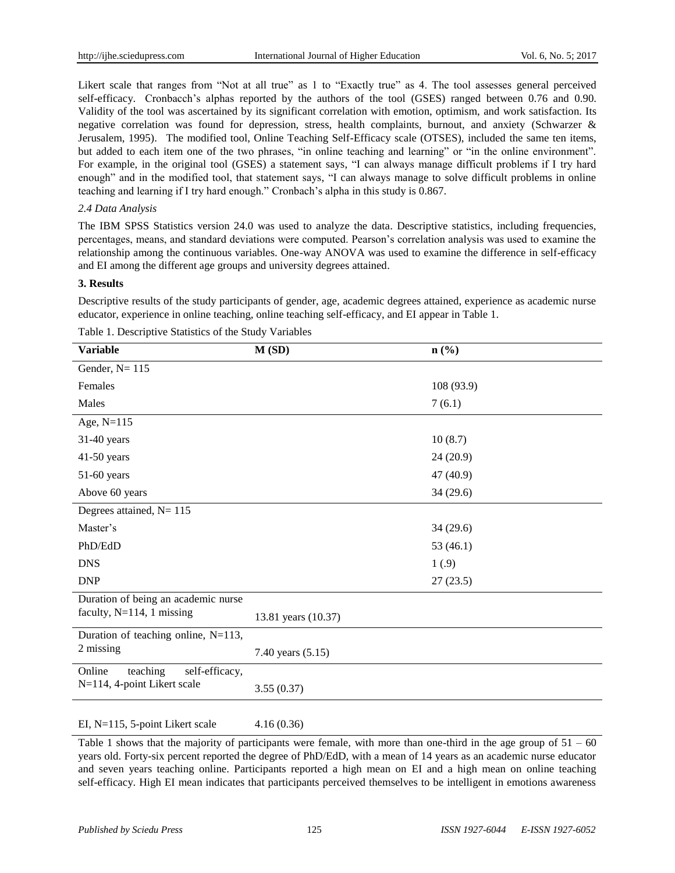Likert scale that ranges from "Not at all true" as 1 to "Exactly true" as 4. The tool assesses general perceived self-efficacy. Cronbacch's alphas reported by the authors of the tool (GSES) ranged between 0.76 and 0.90. Validity of the tool was ascertained by its significant correlation with emotion, optimism, and work satisfaction. Its negative correlation was found for depression, stress, health complaints, burnout, and anxiety (Schwarzer & Jerusalem, 1995). The modified tool, Online Teaching Self-Efficacy scale (OTSES), included the same ten items, but added to each item one of the two phrases, "in online teaching and learning" or "in the online environment". For example, in the original tool (GSES) a statement says, "I can always manage difficult problems if I try hard enough" and in the modified tool, that statement says, "I can always manage to solve difficult problems in online teaching and learning if I try hard enough." Cronbach's alpha in this study is 0.867.

# *2.4 Data Analysis*

The IBM SPSS Statistics version 24.0 was used to analyze the data. Descriptive statistics, including frequencies, percentages, means, and standard deviations were computed. Pearson's correlation analysis was used to examine the relationship among the continuous variables. One-way ANOVA was used to examine the difference in self-efficacy and EI among the different age groups and university degrees attained.

## **3. Results**

Descriptive results of the study participants of gender, age, academic degrees attained, experience as academic nurse educator, experience in online teaching, online teaching self-efficacy, and EI appear in Table 1.

| <b>Variable</b>                      | M(SD)               | $n\left(\frac{0}{0}\right)$ |
|--------------------------------------|---------------------|-----------------------------|
| Gender, $N = 115$                    |                     |                             |
| Females                              |                     | 108 (93.9)                  |
| Males                                |                     | 7(6.1)                      |
| Age, $N=115$                         |                     |                             |
| $31-40$ years                        |                     | 10(8.7)                     |
| 41-50 years                          |                     | 24(20.9)                    |
| $51-60$ years                        |                     | 47 (40.9)                   |
| Above 60 years                       |                     | 34 (29.6)                   |
| Degrees attained, $N = 115$          |                     |                             |
| Master's                             |                     | 34(29.6)                    |
| PhD/EdD                              |                     | 53 $(46.1)$                 |
| <b>DNS</b>                           |                     | 1(.9)                       |
| <b>DNP</b>                           |                     | 27(23.5)                    |
| Duration of being an academic nurse  |                     |                             |
| faculty, $N=114$ , 1 missing         | 13.81 years (10.37) |                             |
| Duration of teaching online, N=113,  |                     |                             |
| 2 missing                            | 7.40 years (5.15)   |                             |
| Online<br>teaching<br>self-efficacy, |                     |                             |
| N=114, 4-point Likert scale          | 3.55(0.37)          |                             |
|                                      |                     |                             |

Table 1. Descriptive Statistics of the Study Variables

EI, N=115, 5-point Likert scale 4.16 (0.36)

Table 1 shows that the majority of participants were female, with more than one-third in the age group of  $51 - 60$ years old. Forty-six percent reported the degree of PhD/EdD, with a mean of 14 years as an academic nurse educator and seven years teaching online. Participants reported a high mean on EI and a high mean on online teaching self-efficacy. High EI mean indicates that participants perceived themselves to be intelligent in emotions awareness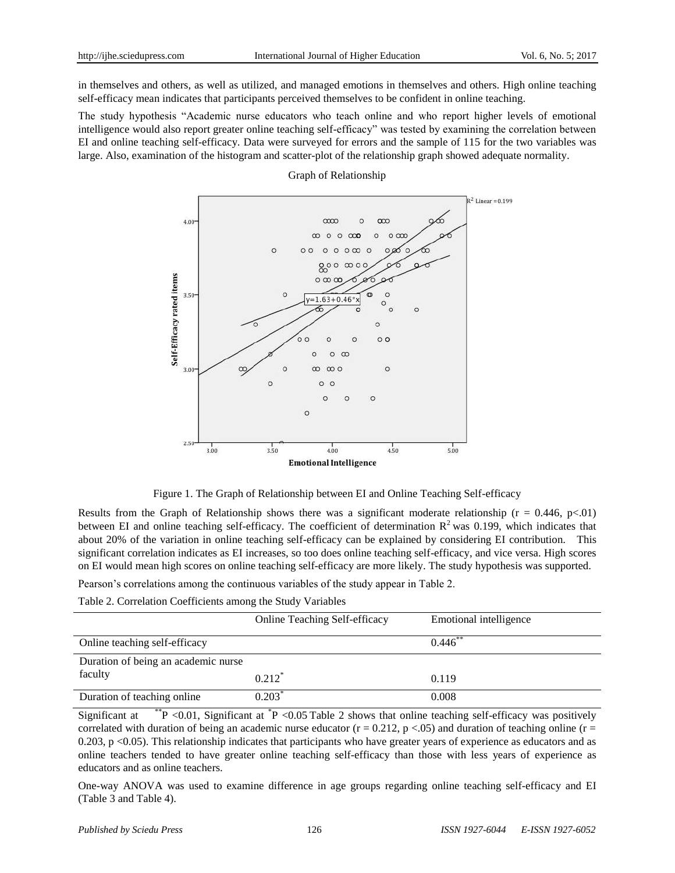in themselves and others, as well as utilized, and managed emotions in themselves and others. High online teaching self-efficacy mean indicates that participants perceived themselves to be confident in online teaching.

The study hypothesis "Academic nurse educators who teach online and who report higher levels of emotional intelligence would also report greater online teaching self-efficacy" was tested by examining the correlation between EI and online teaching self-efficacy. Data were surveyed for errors and the sample of 115 for the two variables was large. Also, examination of the histogram and scatter-plot of the relationship graph showed adequate normality.

#### Graph of Relationship



Figure 1. The Graph of Relationship between EI and Online Teaching Self-efficacy

Results from the Graph of Relationship shows there was a significant moderate relationship ( $r = 0.446$ ,  $p < 01$ ) between EI and online teaching self-efficacy. The coefficient of determination  $R^2$  was 0.199, which indicates that about 20% of the variation in online teaching self-efficacy can be explained by considering EI contribution. This significant correlation indicates as EI increases, so too does online teaching self-efficacy, and vice versa. High scores on EI would mean high scores on online teaching self-efficacy are more likely. The study hypothesis was supported.

Pearson's correlations among the continuous variables of the study appear in Table 2.

Table 2. Correlation Coefficients among the Study Variables

|                                     | <b>Online Teaching Self-efficacy</b> | Emotional intelligence |
|-------------------------------------|--------------------------------------|------------------------|
| Online teaching self-efficacy       |                                      | $0.446$ **             |
| Duration of being an academic nurse |                                      |                        |
| faculty                             | $0.212$ <sup>*</sup>                 | 0.119                  |
| Duration of teaching online         | $0.203^*$                            | 0.008                  |

Significant at  $*$ <sup>\*</sup>P <0.01, Significant at  $*$ P <0.05 Table 2 shows that online teaching self-efficacy was positively correlated with duration of being an academic nurse educator ( $r = 0.212$ ,  $p < 0.05$ ) and duration of teaching online ( $r = 0.212$ )  $0.203$ , p <0.05). This relationship indicates that participants who have greater years of experience as educators and as online teachers tended to have greater online teaching self-efficacy than those with less years of experience as educators and as online teachers.

One-way ANOVA was used to examine difference in age groups regarding online teaching self-efficacy and EI (Table 3 and Table 4).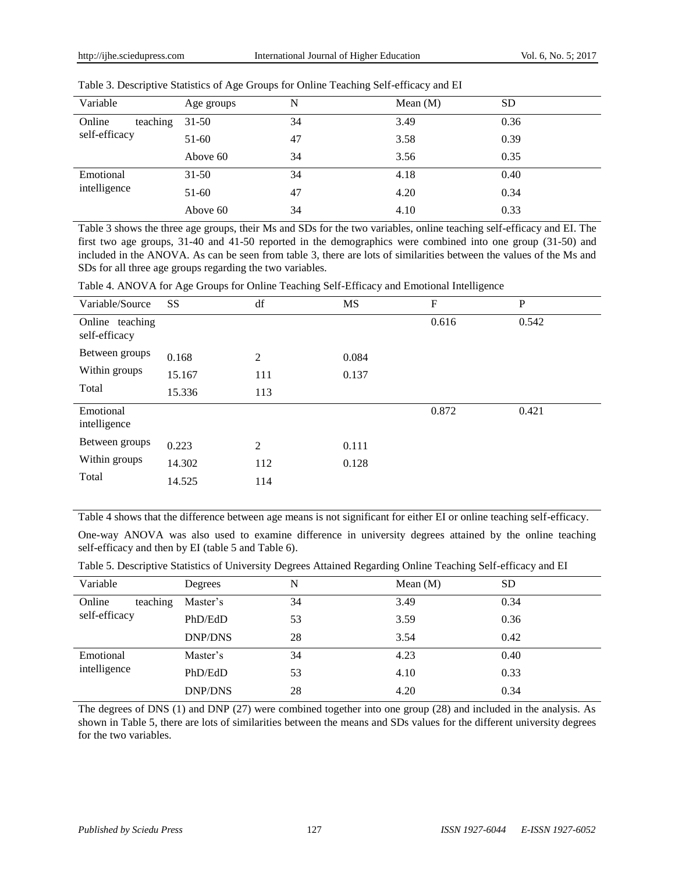| Variable           | Age groups | N  | Mean $(M)$ | <b>SD</b> |
|--------------------|------------|----|------------|-----------|
| Online<br>teaching | $31-50$    | 34 | 3.49       | 0.36      |
| self-efficacy      | $51-60$    | 47 | 3.58       | 0.39      |
|                    | Above 60   | 34 | 3.56       | 0.35      |
| Emotional          | $31 - 50$  | 34 | 4.18       | 0.40      |
| intelligence       | 51-60      | 47 | 4.20       | 0.34      |
|                    | Above 60   | 34 | 4.10       | 0.33      |

Table 3. Descriptive Statistics of Age Groups for Online Teaching Self-efficacy and EI

Table 3 shows the three age groups, their Ms and SDs for the two variables, online teaching self-efficacy and EI. The first two age groups, 31-40 and 41-50 reported in the demographics were combined into one group (31-50) and included in the ANOVA. As can be seen from table 3, there are lots of similarities between the values of the Ms and SDs for all three age groups regarding the two variables.

| Table 4. ANOVA for Age Groups for Online Teaching Self-Efficacy and Emotional Intelligence |  |  |  |
|--------------------------------------------------------------------------------------------|--|--|--|
|                                                                                            |  |  |  |

| Variable/Source                  | <b>SS</b> | df             | <b>MS</b> | $\boldsymbol{F}$ | P     |
|----------------------------------|-----------|----------------|-----------|------------------|-------|
| Online teaching<br>self-efficacy |           |                |           | 0.616            | 0.542 |
| Between groups                   | 0.168     | $\overline{2}$ | 0.084     |                  |       |
| Within groups                    | 15.167    | 111            | 0.137     |                  |       |
| Total                            | 15.336    | 113            |           |                  |       |
| Emotional<br>intelligence        |           |                |           | 0.872            | 0.421 |
| Between groups                   | 0.223     | $\overline{2}$ | 0.111     |                  |       |
| Within groups                    | 14.302    | 112            | 0.128     |                  |       |
| Total                            | 14.525    | 114            |           |                  |       |
|                                  |           |                |           |                  |       |

Table 4 shows that the difference between age means is not significant for either EI or online teaching self-efficacy.

One-way ANOVA was also used to examine difference in university degrees attained by the online teaching self-efficacy and then by EI (table 5 and Table 6).

|  |  | Table 5. Descriptive Statistics of University Degrees Attained Regarding Online Teaching Self-efficacy and EI |
|--|--|---------------------------------------------------------------------------------------------------------------|
|  |  |                                                                                                               |

|                    |                | $\overline{\phantom{0}}$<br>ຼ | ີ<br>ີ     |           |
|--------------------|----------------|-------------------------------|------------|-----------|
| Variable           | Degrees        | N                             | Mean $(M)$ | <b>SD</b> |
| Online<br>teaching | Master's       | 34                            | 3.49       | 0.34      |
| self-efficacy      | PhD/EdD        | 53                            | 3.59       | 0.36      |
|                    | <b>DNP/DNS</b> | 28                            | 3.54       | 0.42      |
| Emotional          | Master's       | 34                            | 4.23       | 0.40      |
| intelligence       | PhD/EdD        | 53                            | 4.10       | 0.33      |
|                    | <b>DNP/DNS</b> | 28                            | 4.20       | 0.34      |

The degrees of DNS (1) and DNP (27) were combined together into one group (28) and included in the analysis. As shown in Table 5, there are lots of similarities between the means and SDs values for the different university degrees for the two variables.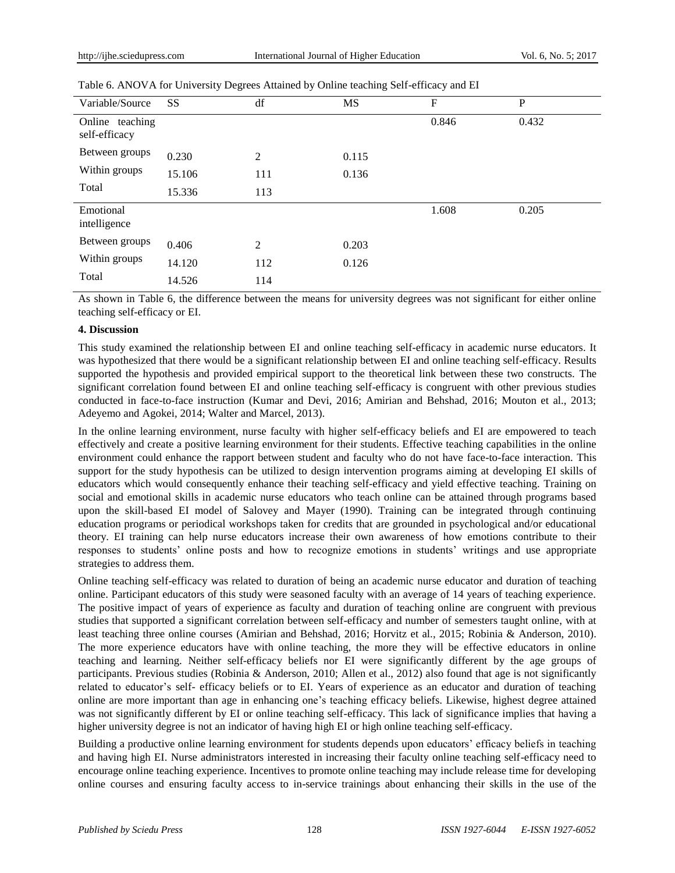| Variable/Source                  | SS     | df  | <b>MS</b> | F     | P     |
|----------------------------------|--------|-----|-----------|-------|-------|
| Online teaching<br>self-efficacy |        |     |           | 0.846 | 0.432 |
| Between groups                   | 0.230  | 2   | 0.115     |       |       |
| Within groups                    | 15.106 | 111 | 0.136     |       |       |
| Total                            | 15.336 | 113 |           |       |       |
| Emotional<br>intelligence        |        |     |           | 1.608 | 0.205 |
| Between groups                   | 0.406  | 2   | 0.203     |       |       |
| Within groups                    | 14.120 | 112 | 0.126     |       |       |
| Total                            | 14.526 | 114 |           |       |       |
|                                  |        |     |           |       |       |

Table 6. ANOVA for University Degrees Attained by Online teaching Self-efficacy and EI

As shown in Table 6, the difference between the means for university degrees was not significant for either online teaching self-efficacy or EI.

# **4. Discussion**

This study examined the relationship between EI and online teaching self-efficacy in academic nurse educators. It was hypothesized that there would be a significant relationship between EI and online teaching self-efficacy. Results supported the hypothesis and provided empirical support to the theoretical link between these two constructs. The significant correlation found between EI and online teaching self-efficacy is congruent with other previous studies conducted in face-to-face instruction (Kumar and Devi, 2016; Amirian and Behshad, 2016; Mouton et al., 2013; Adeyemo and Agokei, 2014; Walter and Marcel, 2013).

In the online learning environment, nurse faculty with higher self-efficacy beliefs and EI are empowered to teach effectively and create a positive learning environment for their students. Effective teaching capabilities in the online environment could enhance the rapport between student and faculty who do not have face-to-face interaction. This support for the study hypothesis can be utilized to design intervention programs aiming at developing EI skills of educators which would consequently enhance their teaching self-efficacy and yield effective teaching. Training on social and emotional skills in academic nurse educators who teach online can be attained through programs based upon the skill-based EI model of Salovey and Mayer (1990). Training can be integrated through continuing education programs or periodical workshops taken for credits that are grounded in psychological and/or educational theory. EI training can help nurse educators increase their own awareness of how emotions contribute to their responses to students' online posts and how to recognize emotions in students' writings and use appropriate strategies to address them.

Online teaching self-efficacy was related to duration of being an academic nurse educator and duration of teaching online. Participant educators of this study were seasoned faculty with an average of 14 years of teaching experience. The positive impact of years of experience as faculty and duration of teaching online are congruent with previous studies that supported a significant correlation between self-efficacy and number of semesters taught online, with at least teaching three online courses (Amirian and Behshad, 2016; Horvitz et al., 2015; Robinia & Anderson, 2010). The more experience educators have with online teaching, the more they will be effective educators in online teaching and learning. Neither self-efficacy beliefs nor EI were significantly different by the age groups of participants. Previous studies (Robinia & Anderson, 2010; Allen et al., 2012) also found that age is not significantly related to educator's self- efficacy beliefs or to EI. Years of experience as an educator and duration of teaching online are more important than age in enhancing one's teaching efficacy beliefs. Likewise, highest degree attained was not significantly different by EI or online teaching self-efficacy. This lack of significance implies that having a higher university degree is not an indicator of having high EI or high online teaching self-efficacy.

Building a productive online learning environment for students depends upon educators' efficacy beliefs in teaching and having high EI. Nurse administrators interested in increasing their faculty online teaching self-efficacy need to encourage online teaching experience. Incentives to promote online teaching may include release time for developing online courses and ensuring faculty access to in-service trainings about enhancing their skills in the use of the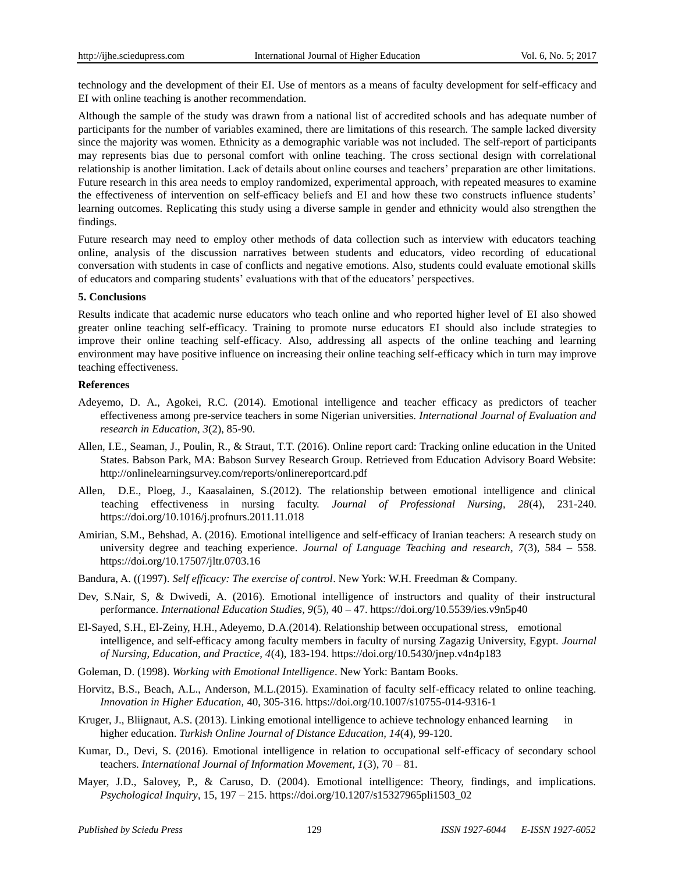technology and the development of their EI. Use of mentors as a means of faculty development for self-efficacy and EI with online teaching is another recommendation.

Although the sample of the study was drawn from a national list of accredited schools and has adequate number of participants for the number of variables examined, there are limitations of this research. The sample lacked diversity since the majority was women. Ethnicity as a demographic variable was not included. The self-report of participants may represents bias due to personal comfort with online teaching. The cross sectional design with correlational relationship is another limitation. Lack of details about online courses and teachers' preparation are other limitations. Future research in this area needs to employ randomized, experimental approach, with repeated measures to examine the effectiveness of intervention on self-efficacy beliefs and EI and how these two constructs influence students' learning outcomes. Replicating this study using a diverse sample in gender and ethnicity would also strengthen the findings.

Future research may need to employ other methods of data collection such as interview with educators teaching online, analysis of the discussion narratives between students and educators, video recording of educational conversation with students in case of conflicts and negative emotions. Also, students could evaluate emotional skills of educators and comparing students' evaluations with that of the educators' perspectives.

#### **5. Conclusions**

Results indicate that academic nurse educators who teach online and who reported higher level of EI also showed greater online teaching self-efficacy. Training to promote nurse educators EI should also include strategies to improve their online teaching self-efficacy. Also, addressing all aspects of the online teaching and learning environment may have positive influence on increasing their online teaching self-efficacy which in turn may improve teaching effectiveness.

#### **References**

- Adeyemo, D. A., Agokei, R.C. (2014). Emotional intelligence and teacher efficacy as predictors of teacher effectiveness among pre-service teachers in some Nigerian universities. *International Journal of Evaluation and research in Education, 3*(2), 85-90.
- Allen, I.E., Seaman, J., Poulin, R., & Straut, T.T. (2016). Online report card: Tracking online education in the United States. Babson Park, MA: Babson Survey Research Group. Retrieved from Education Advisory Board Website: <http://onlinelearningsurvey.com/reports/onlinereportcard.pdf>
- Allen, D.E., Ploeg, J., Kaasalainen, S.(2012). The relationship between emotional intelligence and clinical teaching effectiveness in nursing faculty. *Journal of Professional Nursing, 28*(4), 231-240. <https://doi.org/10.1016/j.profnurs.2011.11.018>
- Amirian, S.M., Behshad, A. (2016). Emotional intelligence and self-efficacy of Iranian teachers: A research study on university degree and teaching experience. *Journal of Language Teaching and research, 7*(3), 584 – 558. <https://doi.org/10.17507/jltr.0703.16>
- Bandura, A. ((1997). *Self efficacy: The exercise of control*. New York: W.H. Freedman & Company.
- Dev, S.Nair, S, & Dwivedi, A. (2016). Emotional intelligence of instructors and quality of their instructural performance. *International Education Studies, 9*(5), 40 – 47. <https://doi.org/10.5539/ies.v9n5p40>
- El-Sayed, S.H., El-Zeiny, H.H., Adeyemo, D.A.(2014). Relationship between occupational stress, emotional intelligence, and self-efficacy among faculty members in faculty of nursing Zagazig University, Egypt. *Journal of Nursing, Education, and Practice, 4*(4), 183-194. <https://doi.org/10.5430/jnep.v4n4p183>
- Goleman, D. (1998). *Working with Emotional Intelligence*. New York: Bantam Books.
- Horvitz, B.S., Beach, A.L., Anderson, M.L.(2015). Examination of faculty self-efficacy related to online teaching. *Innovation in Higher Education,* 40, 305-316. <https://doi.org/10.1007/s10755-014-9316-1>
- Kruger, J., Bliignaut, A.S. (2013). Linking emotional intelligence to achieve technology enhanced learning in higher education. *Turkish Online Journal of Distance Education, 14*(4), 99-120.
- Kumar, D., Devi, S. (2016). Emotional intelligence in relation to occupational self-efficacy of secondary school teachers. *International Journal of Information Movement, 1*(3), 70 – 81.
- Mayer, J.D., Salovey, P., & Caruso, D. (2004). Emotional intelligence: Theory, findings, and implications. *Psychological Inquiry*, 15, 197 – 215. [https://doi.org/10.1207/s15327965pli1503\\_02](https://doi.org/10.1207/s15327965pli1503_02)